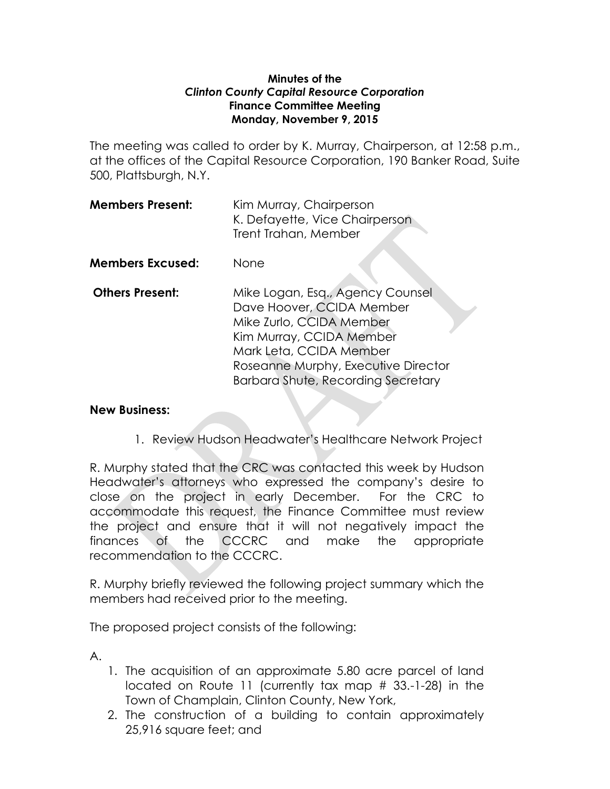### **Minutes of the**  *Clinton County Capital Resource Corporation* **Finance Committee Meeting Monday, November 9, 2015**

The meeting was called to order by K. Murray, Chairperson, at 12:58 p.m., at the offices of the Capital Resource Corporation, 190 Banker Road, Suite 500, Plattsburgh, N.Y.

| <b>Members Present:</b> | Kim Murray, Chairperson        |
|-------------------------|--------------------------------|
|                         | K. Defayette, Vice Chairperson |
|                         | Trent Trahan, Member           |

- **Members Excused:** None
- **Others Present:** Mike Logan, Esq., Agency Counsel Dave Hoover, CCIDA Member Mike Zurlo, CCIDA Member Kim Murray, CCIDA Member Mark Leta, CCIDA Member Roseanne Murphy, Executive Director Barbara Shute, Recording Secretary

# **New Business:**

1. Review Hudson Headwater's Healthcare Network Project

R. Murphy stated that the CRC was contacted this week by Hudson Headwater's attorneys who expressed the company's desire to close on the project in early December. For the CRC to accommodate this request, the Finance Committee must review the project and ensure that it will not negatively impact the finances of the CCCRC and make the appropriate recommendation to the CCCRC.

R. Murphy briefly reviewed the following project summary which the members had received prior to the meeting.

The proposed project consists of the following:

A.

- 1. The acquisition of an approximate 5.80 acre parcel of land located on Route 11 (currently tax map # 33.-1-28) in the Town of Champlain, Clinton County, New York,
- 2. The construction of a building to contain approximately 25,916 square feet; and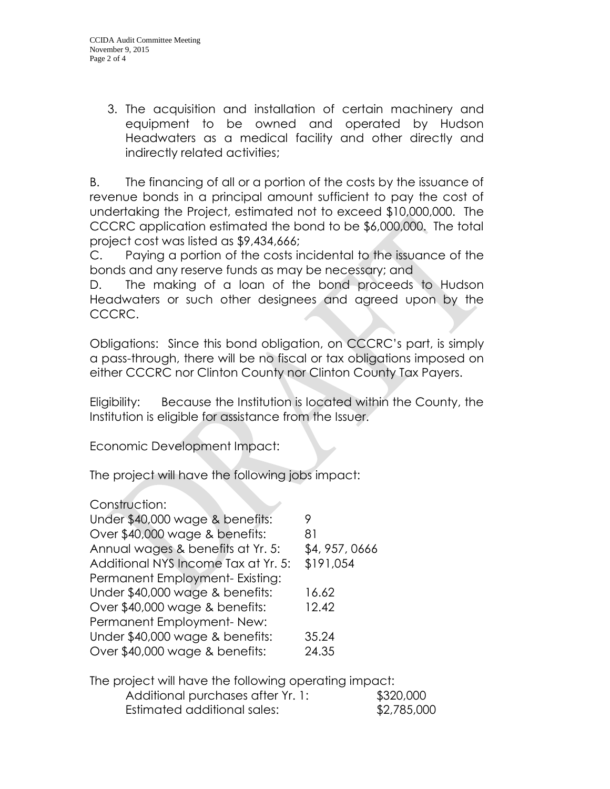3. The acquisition and installation of certain machinery and equipment to be owned and operated by Hudson Headwaters as a medical facility and other directly and indirectly related activities;

B. The financing of all or a portion of the costs by the issuance of revenue bonds in a principal amount sufficient to pay the cost of undertaking the Project, estimated not to exceed \$10,000,000. The CCCRC application estimated the bond to be \$6,000,000. The total project cost was listed as \$9,434,666;

C. Paying a portion of the costs incidental to the issuance of the bonds and any reserve funds as may be necessary; and

D. The making of a loan of the bond proceeds to Hudson Headwaters or such other designees and agreed upon by the CCCRC.

Obligations: Since this bond obligation, on CCCRC's part, is simply a pass-through, there will be no fiscal or tax obligations imposed on either CCCRC nor Clinton County nor Clinton County Tax Payers.

Eligibility: Because the Institution is located within the County, the Institution is eligible for assistance from the Issuer.

Economic Development Impact:

The project will have the following jobs impact:

# Construction:

| Under \$40,000 wage & benefits:     | 9            |
|-------------------------------------|--------------|
| Over \$40,000 wage & benefits:      | 81           |
| Annual wages & benefits at Yr. 5:   | \$4,957,0666 |
| Additional NYS Income Tax at Yr. 5: | \$191,054    |
| Permanent Employment- Existing:     |              |
| Under \$40,000 wage & benefits:     | 16.62        |
| Over \$40,000 wage & benefits:      | 12.42        |
| Permanent Employment-New:           |              |
| Under \$40,000 wage & benefits:     | 35.24        |
| Over \$40,000 wage & benefits:      | 24.35        |

The project will have the following operating impact:

| Additional purchases after Yr. 1: | \$320,000   |
|-----------------------------------|-------------|
| Estimated additional sales:       | \$2,785,000 |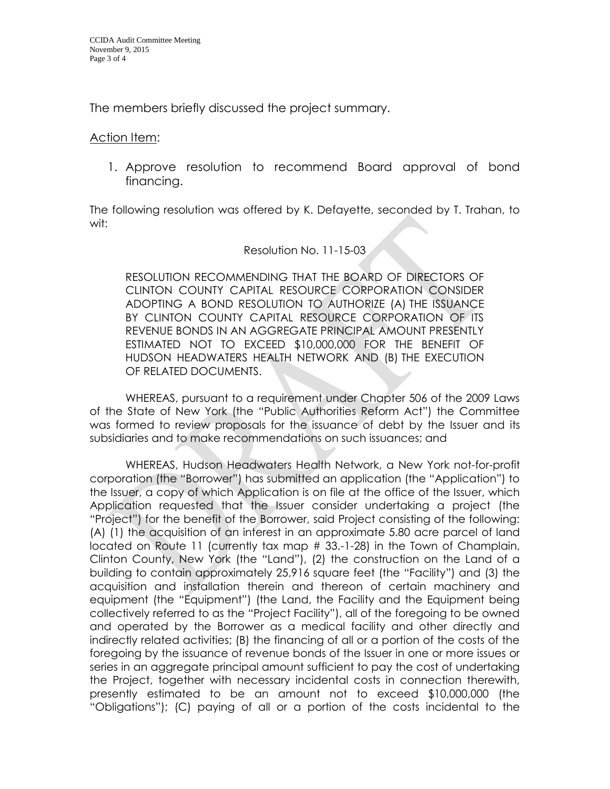The members briefly discussed the project summary.

#### Action Item:

1. Approve resolution to recommend Board approval of bond financing.

The following resolution was offered by K. Defayette, seconded by T. Trahan, to wit:

#### Resolution No. 11-15-03

RESOLUTION RECOMMENDING THAT THE BOARD OF DIRECTORS OF CLINTON COUNTY CAPITAL RESOURCE CORPORATION CONSIDER ADOPTING A BOND RESOLUTION TO AUTHORIZE (A) THE ISSUANCE BY CLINTON COUNTY CAPITAL RESOURCE CORPORATION OF ITS REVENUE BONDS IN AN AGGREGATE PRINCIPAL AMOUNT PRESENTLY ESTIMATED NOT TO EXCEED \$10,000,000 FOR THE BENEFIT OF HUDSON HEADWATERS HEALTH NETWORK AND (B) THE EXECUTION OF RELATED DOCUMENTS.

WHEREAS, pursuant to a requirement under Chapter 506 of the 2009 Laws of the State of New York (the "Public Authorities Reform Act") the Committee was formed to review proposals for the issuance of debt by the Issuer and its subsidiaries and to make recommendations on such issuances; and

WHEREAS, Hudson Headwaters Health Network, a New York not-for-profit corporation (the "Borrower") has submitted an application (the "Application") to the Issuer, a copy of which Application is on file at the office of the Issuer, which Application requested that the Issuer consider undertaking a project (the "Project") for the benefit of the Borrower, said Project consisting of the following: (A) (1) the acquisition of an interest in an approximate 5.80 acre parcel of land located on Route 11 (currently tax map # 33.-1-28) in the Town of Champlain, Clinton County, New York (the "Land"), (2) the construction on the Land of a building to contain approximately 25,916 square feet (the "Facility") and (3) the acquisition and installation therein and thereon of certain machinery and equipment (the "Equipment") (the Land, the Facility and the Equipment being collectively referred to as the "Project Facility"), all of the foregoing to be owned and operated by the Borrower as a medical facility and other directly and indirectly related activities; (B) the financing of all or a portion of the costs of the foregoing by the issuance of revenue bonds of the Issuer in one or more issues or series in an aggregate principal amount sufficient to pay the cost of undertaking the Project, together with necessary incidental costs in connection therewith, presently estimated to be an amount not to exceed \$10,000,000 (the "Obligations"); (C) paying of all or a portion of the costs incidental to the